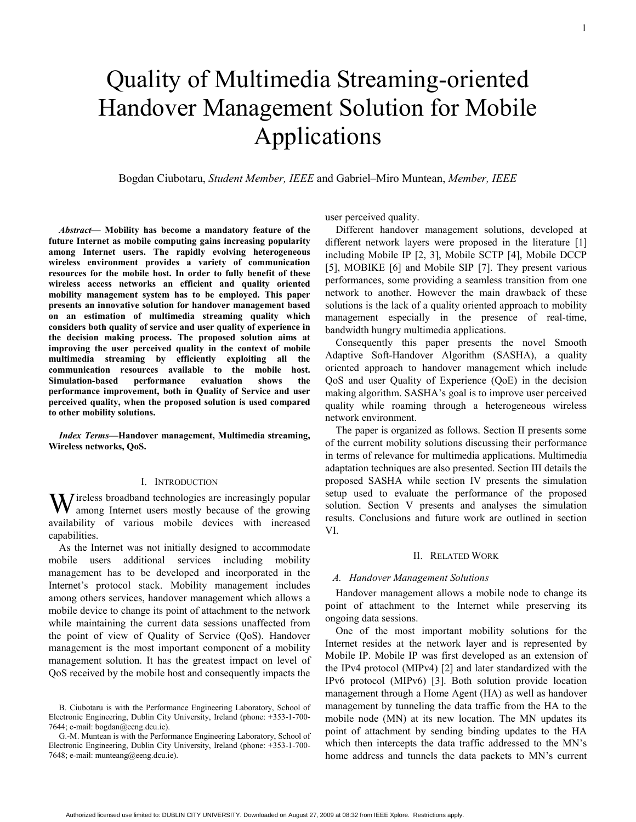# Quality of Multimedia Streaming-oriented Handover Management Solution for Mobile Applications

Bogdan Ciubotaru, *Student Member, IEEE* and Gabriel–Miro Muntean, *Member, IEEE*

*Abstract***— Mobility has become a mandatory feature of the future Internet as mobile computing gains increasing popularity among Internet users. The rapidly evolving heterogeneous wireless environment provides a variety of communication resources for the mobile host. In order to fully benefit of these wireless access networks an efficient and quality oriented mobility management system has to be employed. This paper presents an innovative solution for handover management based on an estimation of multimedia streaming quality which considers both quality of service and user quality of experience in the decision making process. The proposed solution aims at improving the user perceived quality in the context of mobile multimedia streaming by efficiently exploiting all the communication resources available to the mobile host. Simulation-based performance evaluation shows the performance improvement, both in Quality of Service and user perceived quality, when the proposed solution is used compared to other mobility solutions.** 

*Index Terms***—Handover management, Multimedia streaming, Wireless networks, QoS.** 

#### I. INTRODUCTION

Wireless broadband technologies are increasingly popular among Internet users mostly because of the growing among Internet users mostly because of the growing availability of various mobile devices with increased capabilities.

As the Internet was not initially designed to accommodate mobile users additional services including mobility management has to be developed and incorporated in the Internet's protocol stack. Mobility management includes among others services, handover management which allows a mobile device to change its point of attachment to the network while maintaining the current data sessions unaffected from the point of view of Quality of Service (QoS). Handover management is the most important component of a mobility management solution. It has the greatest impact on level of QoS received by the mobile host and consequently impacts the

user perceived quality.

Different handover management solutions, developed at different network layers were proposed in the literature [1] including Mobile IP [2, 3], Mobile SCTP [4], Mobile DCCP [5], MOBIKE [6] and Mobile SIP [7]. They present various performances, some providing a seamless transition from one network to another. However the main drawback of these solutions is the lack of a quality oriented approach to mobility management especially in the presence of real-time, bandwidth hungry multimedia applications.

Consequently this paper presents the novel Smooth Adaptive Soft-Handover Algorithm (SASHA), a quality oriented approach to handover management which include QoS and user Quality of Experience (QoE) in the decision making algorithm. SASHA's goal is to improve user perceived quality while roaming through a heterogeneous wireless network environment.

The paper is organized as follows. Section II presents some of the current mobility solutions discussing their performance in terms of relevance for multimedia applications. Multimedia adaptation techniques are also presented. Section III details the proposed SASHA while section IV presents the simulation setup used to evaluate the performance of the proposed solution. Section V presents and analyses the simulation results. Conclusions and future work are outlined in section VI.

#### II. RELATED WORK

### *A. Handover Management Solutions*

Handover management allows a mobile node to change its point of attachment to the Internet while preserving its ongoing data sessions.

One of the most important mobility solutions for the Internet resides at the network layer and is represented by Mobile IP. Mobile IP was first developed as an extension of the IPv4 protocol (MIPv4) [2] and later standardized with the IPv6 protocol (MIPv6) [3]. Both solution provide location management through a Home Agent (HA) as well as handover management by tunneling the data traffic from the HA to the mobile node (MN) at its new location. The MN updates its point of attachment by sending binding updates to the HA which then intercepts the data traffic addressed to the MN's home address and tunnels the data packets to MN's current

B. Ciubotaru is with the Performance Engineering Laboratory, School of Electronic Engineering, Dublin City University, Ireland (phone: +353-1-700- 7644; e-mail: bogdan@eeng.dcu.ie).

G.-M. Muntean is with the Performance Engineering Laboratory, School of Electronic Engineering, Dublin City University, Ireland (phone: +353-1-700- 7648; e-mail: munteang@eeng.dcu.ie).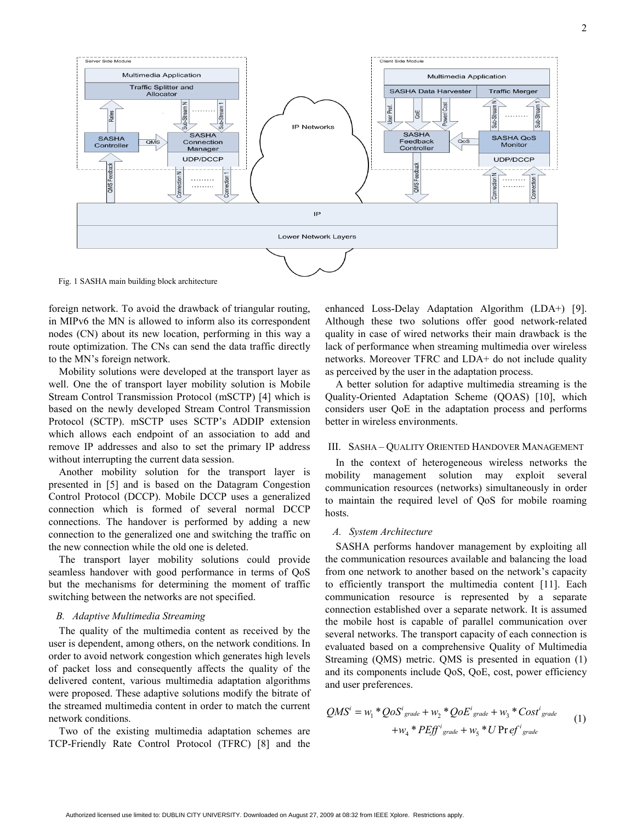

Fig. 1 SASHA main building block architecture

foreign network. To avoid the drawback of triangular routing, in MIPv6 the MN is allowed to inform also its correspondent nodes (CN) about its new location, performing in this way a route optimization. The CNs can send the data traffic directly to the MN's foreign network.

Mobility solutions were developed at the transport layer as well. One the of transport layer mobility solution is Mobile Stream Control Transmission Protocol (mSCTP) [4] which is based on the newly developed Stream Control Transmission Protocol (SCTP). mSCTP uses SCTP's ADDIP extension which allows each endpoint of an association to add and remove IP addresses and also to set the primary IP address without interrupting the current data session.

Another mobility solution for the transport layer is presented in [5] and is based on the Datagram Congestion Control Protocol (DCCP). Mobile DCCP uses a generalized connection which is formed of several normal DCCP connections. The handover is performed by adding a new connection to the generalized one and switching the traffic on the new connection while the old one is deleted.

The transport layer mobility solutions could provide seamless handover with good performance in terms of QoS but the mechanisms for determining the moment of traffic switching between the networks are not specified.

# *B. Adaptive Multimedia Streaming*

The quality of the multimedia content as received by the user is dependent, among others, on the network conditions. In order to avoid network congestion which generates high levels of packet loss and consequently affects the quality of the delivered content, various multimedia adaptation algorithms were proposed. These adaptive solutions modify the bitrate of the streamed multimedia content in order to match the current network conditions.

Two of the existing multimedia adaptation schemes are TCP-Friendly Rate Control Protocol (TFRC) [8] and the enhanced Loss-Delay Adaptation Algorithm (LDA+) [9]. Although these two solutions offer good network-related quality in case of wired networks their main drawback is the lack of performance when streaming multimedia over wireless networks. Moreover TFRC and LDA+ do not include quality as perceived by the user in the adaptation process.

A better solution for adaptive multimedia streaming is the Quality-Oriented Adaptation Scheme (QOAS) [10], which considers user QoE in the adaptation process and performs better in wireless environments.

# III. SASHA – QUALITY ORIENTED HANDOVER MANAGEMENT

In the context of heterogeneous wireless networks the mobility management solution may exploit several communication resources (networks) simultaneously in order to maintain the required level of QoS for mobile roaming hosts.

# *A. System Architecture*

SASHA performs handover management by exploiting all the communication resources available and balancing the load from one network to another based on the network's capacity to efficiently transport the multimedia content [11]. Each communication resource is represented by a separate connection established over a separate network. It is assumed the mobile host is capable of parallel communication over several networks. The transport capacity of each connection is evaluated based on a comprehensive Quality of Multimedia Streaming (QMS) metric. QMS is presented in equation (1) and its components include QoS, QoE, cost, power efficiency and user preferences.

$$
QMSi = w1 * QoSi grade + w2 * QoEi grade + w3 * Costi grade + w4 * PEffi grade + w5 * U Prefi grade
$$
 (1)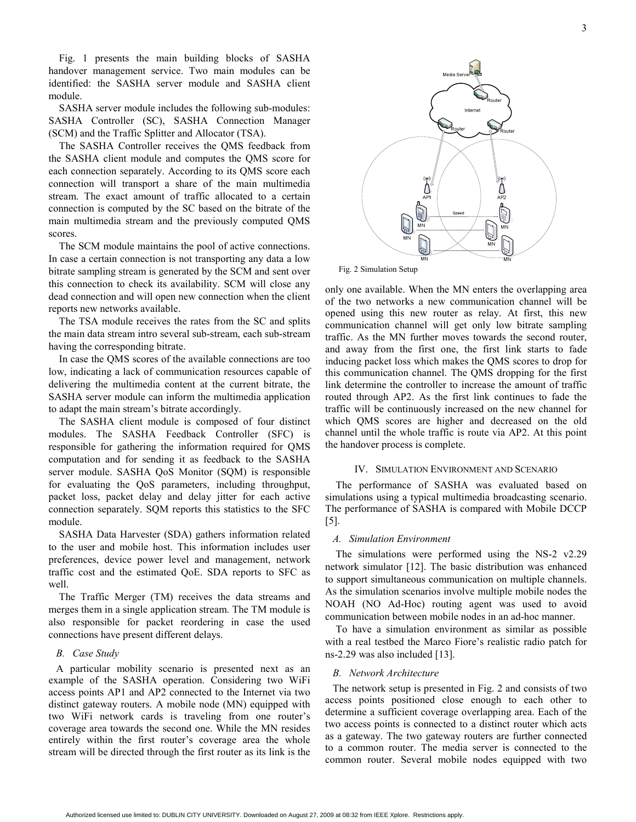Fig. 1 presents the main building blocks of SASHA handover management service. Two main modules can be identified: the SASHA server module and SASHA client module.

SASHA server module includes the following sub-modules: SASHA Controller (SC), SASHA Connection Manager (SCM) and the Traffic Splitter and Allocator (TSA).

The SASHA Controller receives the QMS feedback from the SASHA client module and computes the QMS score for each connection separately. According to its QMS score each connection will transport a share of the main multimedia stream. The exact amount of traffic allocated to a certain connection is computed by the SC based on the bitrate of the main multimedia stream and the previously computed QMS scores.

The SCM module maintains the pool of active connections. In case a certain connection is not transporting any data a low bitrate sampling stream is generated by the SCM and sent over this connection to check its availability. SCM will close any dead connection and will open new connection when the client reports new networks available.

The TSA module receives the rates from the SC and splits the main data stream intro several sub-stream, each sub-stream having the corresponding bitrate.

In case the QMS scores of the available connections are too low, indicating a lack of communication resources capable of delivering the multimedia content at the current bitrate, the SASHA server module can inform the multimedia application to adapt the main stream's bitrate accordingly.

The SASHA client module is composed of four distinct modules. The SASHA Feedback Controller (SFC) is responsible for gathering the information required for QMS computation and for sending it as feedback to the SASHA server module. SASHA QoS Monitor (SQM) is responsible for evaluating the QoS parameters, including throughput, packet loss, packet delay and delay jitter for each active connection separately. SQM reports this statistics to the SFC module.

SASHA Data Harvester (SDA) gathers information related to the user and mobile host. This information includes user preferences, device power level and management, network traffic cost and the estimated QoE. SDA reports to SFC as well.

The Traffic Merger (TM) receives the data streams and merges them in a single application stream. The TM module is also responsible for packet reordering in case the used connections have present different delays.

## *B. Case Study*

A particular mobility scenario is presented next as an example of the SASHA operation. Considering two WiFi access points AP1 and AP2 connected to the Internet via two distinct gateway routers. A mobile node (MN) equipped with two WiFi network cards is traveling from one router's coverage area towards the second one. While the MN resides entirely within the first router's coverage area the whole stream will be directed through the first router as its link is the



Fig. 2 Simulation Setup

only one available. When the MN enters the overlapping area of the two networks a new communication channel will be opened using this new router as relay. At first, this new communication channel will get only low bitrate sampling traffic. As the MN further moves towards the second router, and away from the first one, the first link starts to fade inducing packet loss which makes the QMS scores to drop for this communication channel. The QMS dropping for the first link determine the controller to increase the amount of traffic routed through AP2. As the first link continues to fade the traffic will be continuously increased on the new channel for which QMS scores are higher and decreased on the old channel until the whole traffic is route via AP2. At this point the handover process is complete.

## IV. SIMULATION ENVIRONMENT AND SCENARIO

The performance of SASHA was evaluated based on simulations using a typical multimedia broadcasting scenario. The performance of SASHA is compared with Mobile DCCP [5].

#### *A. Simulation Environment*

The simulations were performed using the NS-2 v2.29 network simulator [12]. The basic distribution was enhanced to support simultaneous communication on multiple channels. As the simulation scenarios involve multiple mobile nodes the NOAH (NO Ad-Hoc) routing agent was used to avoid communication between mobile nodes in an ad-hoc manner.

To have a simulation environment as similar as possible with a real testbed the Marco Fiore's realistic radio patch for ns-2.29 was also included [13].

#### *B. Network Architecture*

The network setup is presented in Fig. 2 and consists of two access points positioned close enough to each other to determine a sufficient coverage overlapping area. Each of the two access points is connected to a distinct router which acts as a gateway. The two gateway routers are further connected to a common router. The media server is connected to the common router. Several mobile nodes equipped with two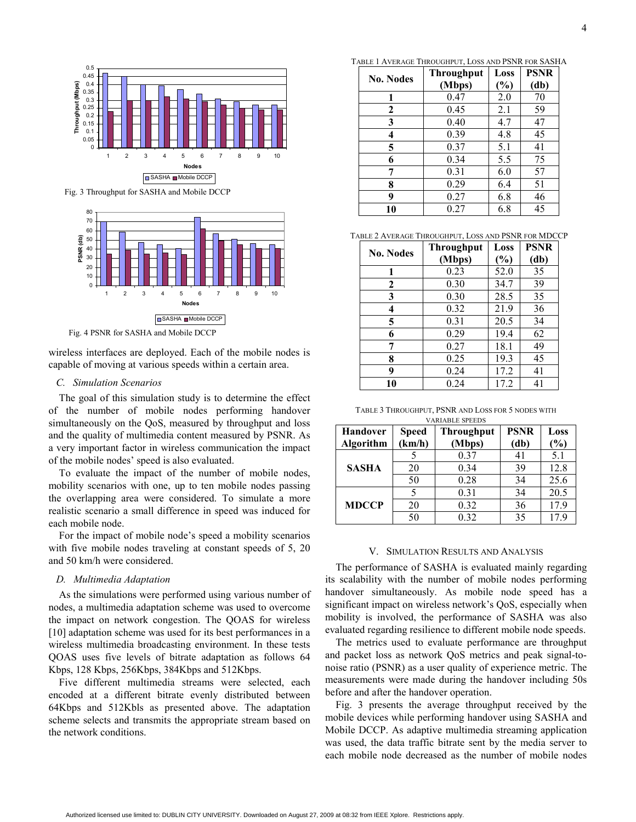

Fig. 3 Throughput for SASHA and Mobile DCCP



Fig. 4 PSNR for SASHA and Mobile DCCP

wireless interfaces are deployed. Each of the mobile nodes is capable of moving at various speeds within a certain area.

## *C. Simulation Scenarios*

The goal of this simulation study is to determine the effect of the number of mobile nodes performing handover simultaneously on the QoS, measured by throughput and loss and the quality of multimedia content measured by PSNR. As a very important factor in wireless communication the impact of the mobile nodes' speed is also evaluated.

To evaluate the impact of the number of mobile nodes, mobility scenarios with one, up to ten mobile nodes passing the overlapping area were considered. To simulate a more realistic scenario a small difference in speed was induced for each mobile node.

For the impact of mobile node's speed a mobility scenarios with five mobile nodes traveling at constant speeds of 5, 20 and 50 km/h were considered.

## *D. Multimedia Adaptation*

As the simulations were performed using various number of nodes, a multimedia adaptation scheme was used to overcome the impact on network congestion. The QOAS for wireless [10] adaptation scheme was used for its best performances in a wireless multimedia broadcasting environment. In these tests QOAS uses five levels of bitrate adaptation as follows 64 Kbps, 128 Kbps, 256Kbps, 384Kbps and 512Kbps.

Five different multimedia streams were selected, each encoded at a different bitrate evenly distributed between 64Kbps and 512Kbls as presented above. The adaptation scheme selects and transmits the appropriate stream based on the network conditions.

TABLE 1 AVERAGE THROUGHPUT, LOSS AND PSNR FOR SASHA

| <b>No. Nodes</b> | <b>Throughput</b> | Loss   | <b>PSNR</b>   |  |
|------------------|-------------------|--------|---------------|--|
|                  | (Mbps)            | $(\%)$ | (d <b>b</b> ) |  |
| 1                | 0.47              | 2.0    | 70            |  |
| 2                | 0.45              | 2.1    | 59            |  |
| 3                | 0.40              | 4.7    | 47            |  |
| 4                | 0.39              | 4.8    | 45            |  |
| 5                | 0.37              | 5.1    | 41            |  |
| 6                | 0.34              | 5.5    | 75            |  |
| 7                | 0.31              | 6.0    | 57            |  |
| 8                | 0.29              | 6.4    | 51            |  |
| 9                | 0.27              | 6.8    | 46            |  |
| 10               | 0.27              | 6.8    | 45            |  |

TABLE 2 AVERAGE THROUGHPUT, LOSS AND PSNR FOR MDCCP

|                  | <b>Throughput</b> | Loss | <b>PSNR</b>   |
|------------------|-------------------|------|---------------|
| <b>No. Nodes</b> | (Mbps)            | (%)  | (d <b>b</b> ) |
| 1                | 0.23              | 52.0 | 35            |
| $\mathbf{2}$     | 0.30              | 34.7 | 39            |
| 3                | 0.30              | 28.5 | 35            |
| 4                | 0.32              | 21.9 | 36            |
| 5                | 0.31              | 20.5 | 34            |
| 6                | 0.29              | 19.4 | 62            |
| 7                | 0.27              | 18.1 | 49            |
| 8                | 0.25              | 19.3 | 45            |
| 9                | 0.24              | 17.2 | 41            |
| 10               | 0.24              | 17.2 | 41            |

TABLE 3 THROUGHPUT, PSNR AND LOSS FOR 5 NODES WITH

| <b>VARIABLE SPEEDS</b> |              |                   |               |      |  |  |  |
|------------------------|--------------|-------------------|---------------|------|--|--|--|
| <b>Handover</b>        | <b>Speed</b> | <b>Throughput</b> | <b>PSNR</b>   | Loss |  |  |  |
| <b>Algorithm</b>       | (km/h)       | (Mbps)            | (d <b>b</b> ) | $\%$ |  |  |  |
|                        |              | 0.37              |               | 5.1  |  |  |  |
| <b>SASHA</b>           | 20           | 0.34              | 39            | 12.8 |  |  |  |
|                        | 50           | 0.28              | 34            | 25.6 |  |  |  |
| <b>MDCCP</b>           |              | 0.31              | 34            | 20.5 |  |  |  |
|                        | 20           | 0.32              | 36            | 17.9 |  |  |  |
|                        | 50           | 0.32              | 35            | 179  |  |  |  |

## V. SIMULATION RESULTS AND ANALYSIS

The performance of SASHA is evaluated mainly regarding its scalability with the number of mobile nodes performing handover simultaneously. As mobile node speed has a significant impact on wireless network's QoS, especially when mobility is involved, the performance of SASHA was also evaluated regarding resilience to different mobile node speeds.

The metrics used to evaluate performance are throughput and packet loss as network QoS metrics and peak signal-tonoise ratio (PSNR) as a user quality of experience metric. The measurements were made during the handover including 50s before and after the handover operation.

Fig. 3 presents the average throughput received by the mobile devices while performing handover using SASHA and Mobile DCCP. As adaptive multimedia streaming application was used, the data traffic bitrate sent by the media server to each mobile node decreased as the number of mobile nodes